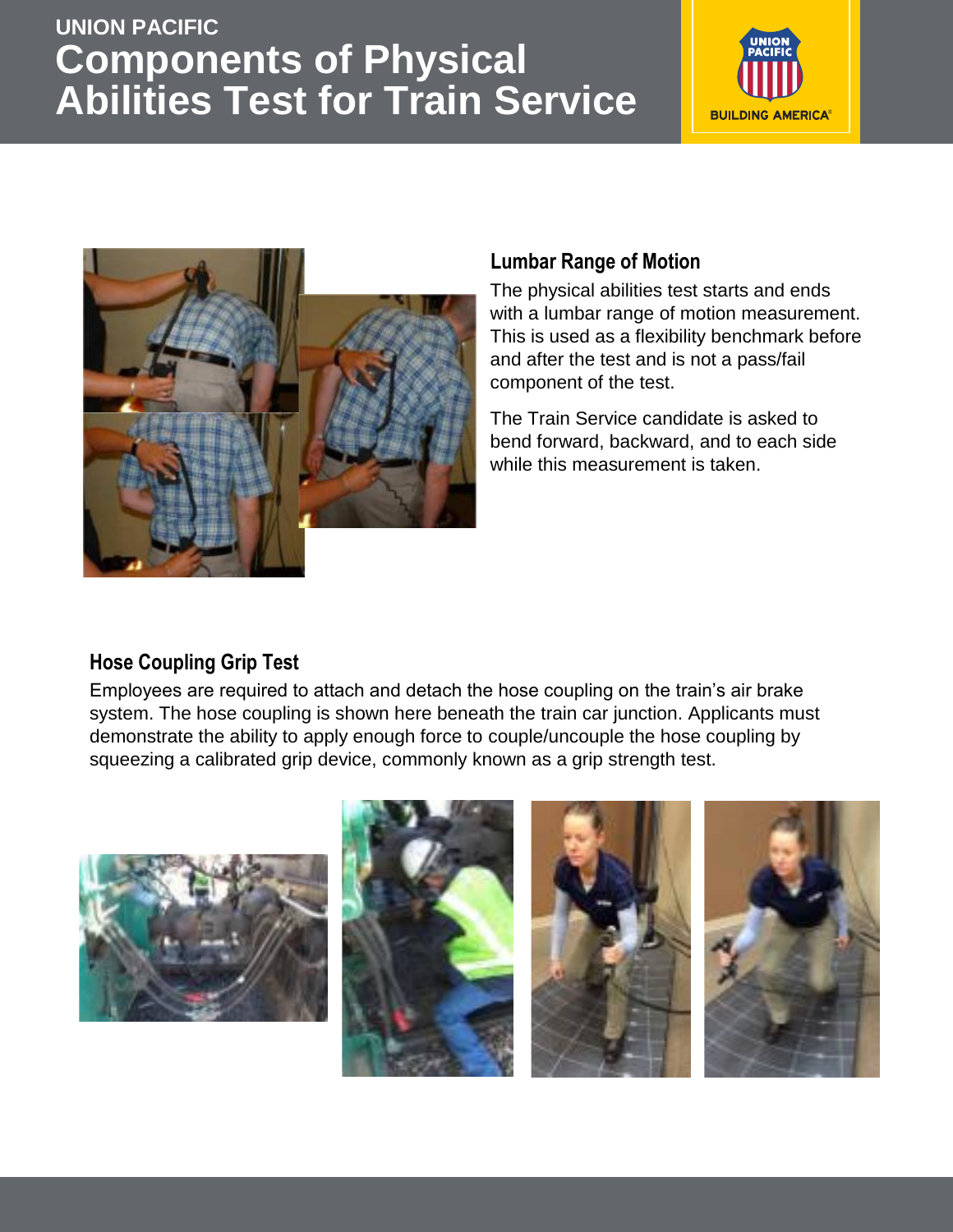# **UNION PACIFIC Components of Physical Abilities Test for Train Service**





# **Lumbar Range of Motion**

The physical abilities test starts and ends with a lumbar range of motion measurement. This is used as a flexibility benchmark before and after the test and is not a pass/fail component of the test.

The Train Service candidate is asked to bend forward, backward, and to each side while this measurement is taken.

## **Hose Coupling Grip Test**

Employees are required to attach and detach the hose coupling on the train's air brake system. The hose coupling is shown here beneath the train car junction. Applicants must demonstrate the ability to apply enough force to couple/uncouple the hose coupling by squeezing a calibrated grip device, commonly known as a grip strength test.

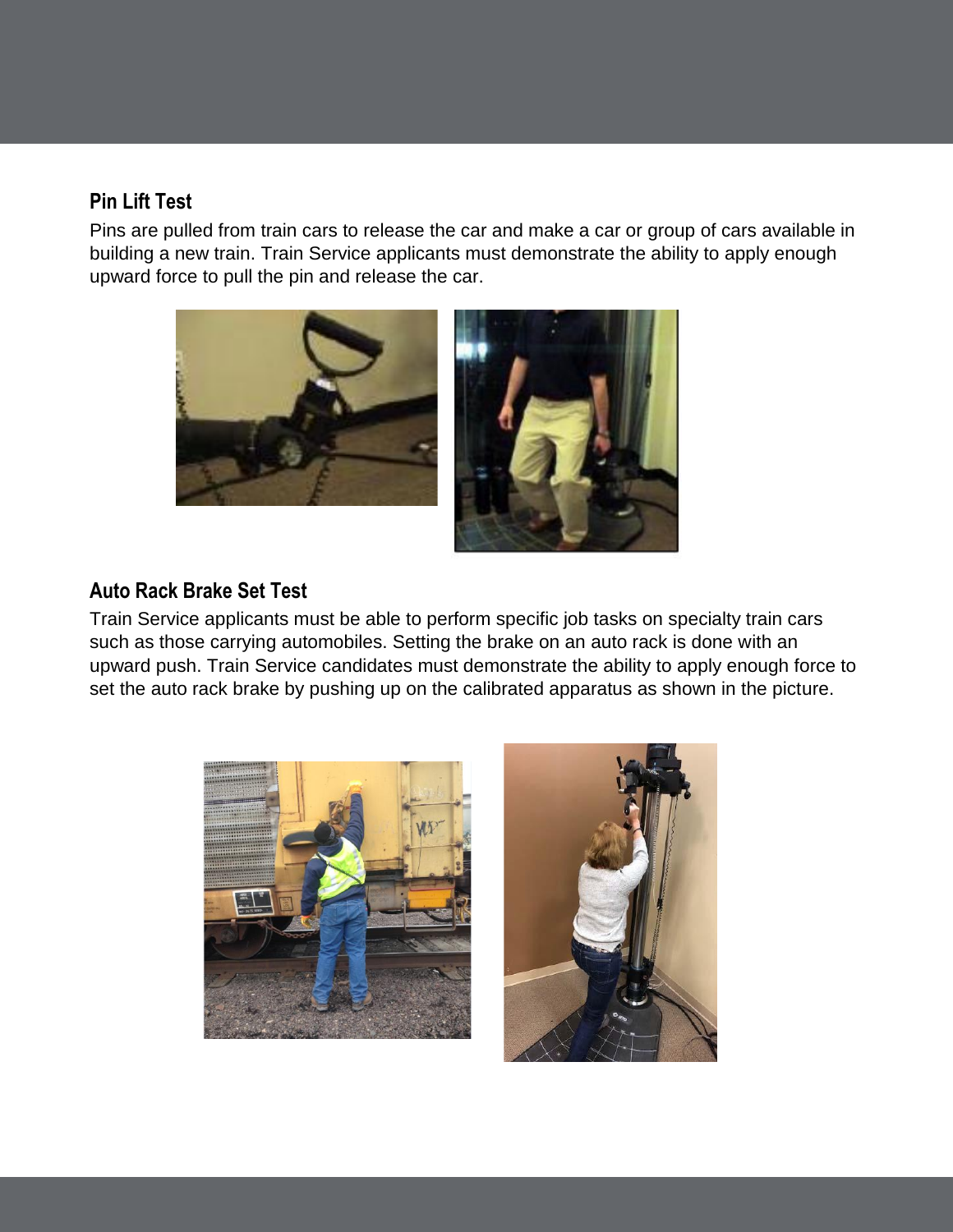#### **Pin Lift Test**

Pins are pulled from train cars to release the car and make a car or group of cars available in building a new train. Train Service applicants must demonstrate the ability to apply enough upward force to pull the pin and release the car.



#### **Auto Rack Brake Set Test**

Train Service applicants must be able to perform specific job tasks on specialty train cars such as those carrying automobiles. Setting the brake on an auto rack is done with an upward push. Train Service candidates must demonstrate the ability to apply enough force to set the auto rack brake by pushing up on the calibrated apparatus as shown in the picture.



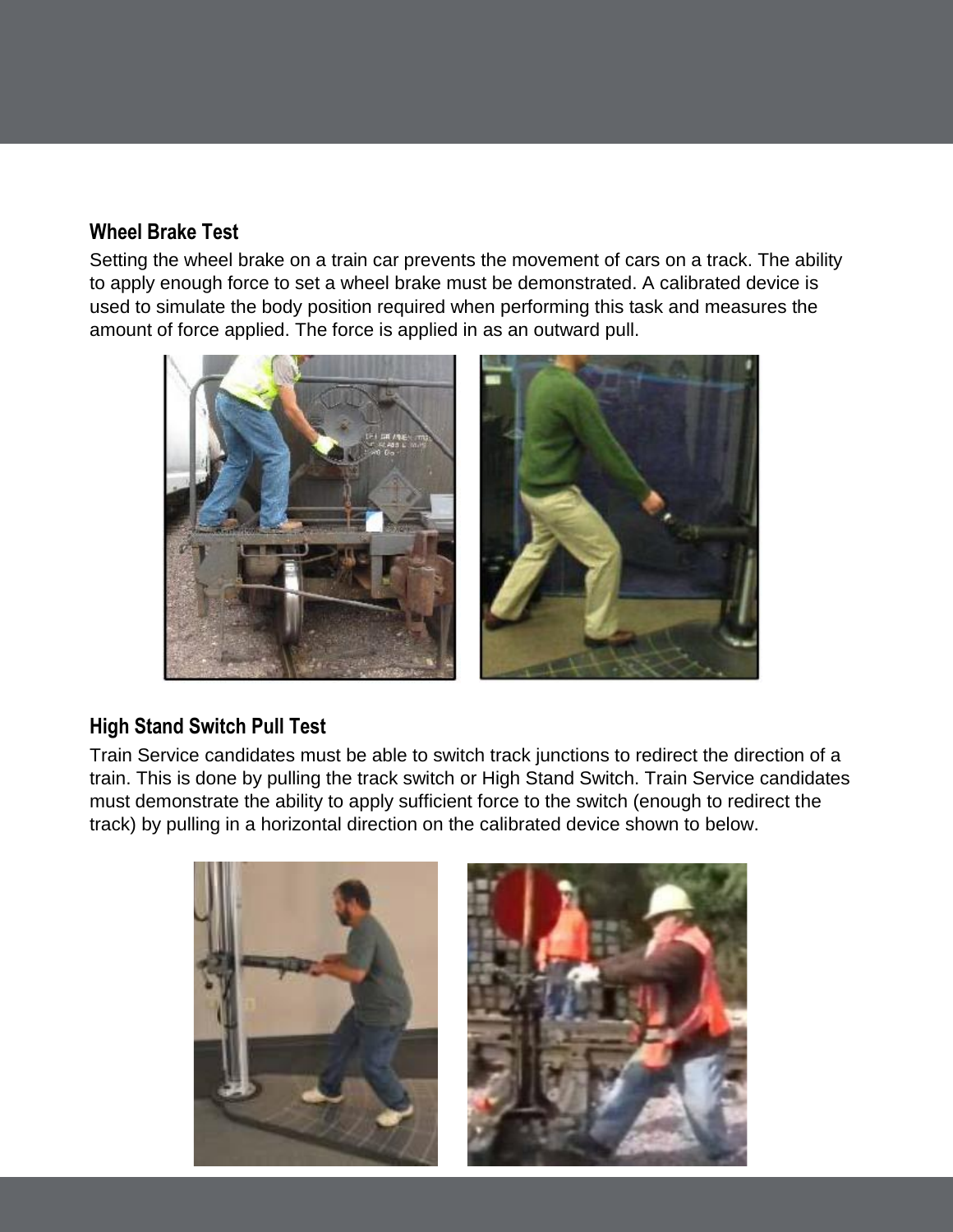### **Wheel Brake Test**

Setting the wheel brake on a train car prevents the movement of cars on a track. The ability to apply enough force to set a wheel brake must be demonstrated. A calibrated device is used to simulate the body position required when performing this task and measures the amount of force applied. The force is applied in as an outward pull.



# **High Stand Switch Pull Test**

Train Service candidates must be able to switch track junctions to redirect the direction of a train. This is done by pulling the track switch or High Stand Switch. Train Service candidates must demonstrate the ability to apply sufficient force to the switch (enough to redirect the track) by pulling in a horizontal direction on the calibrated device shown to below.

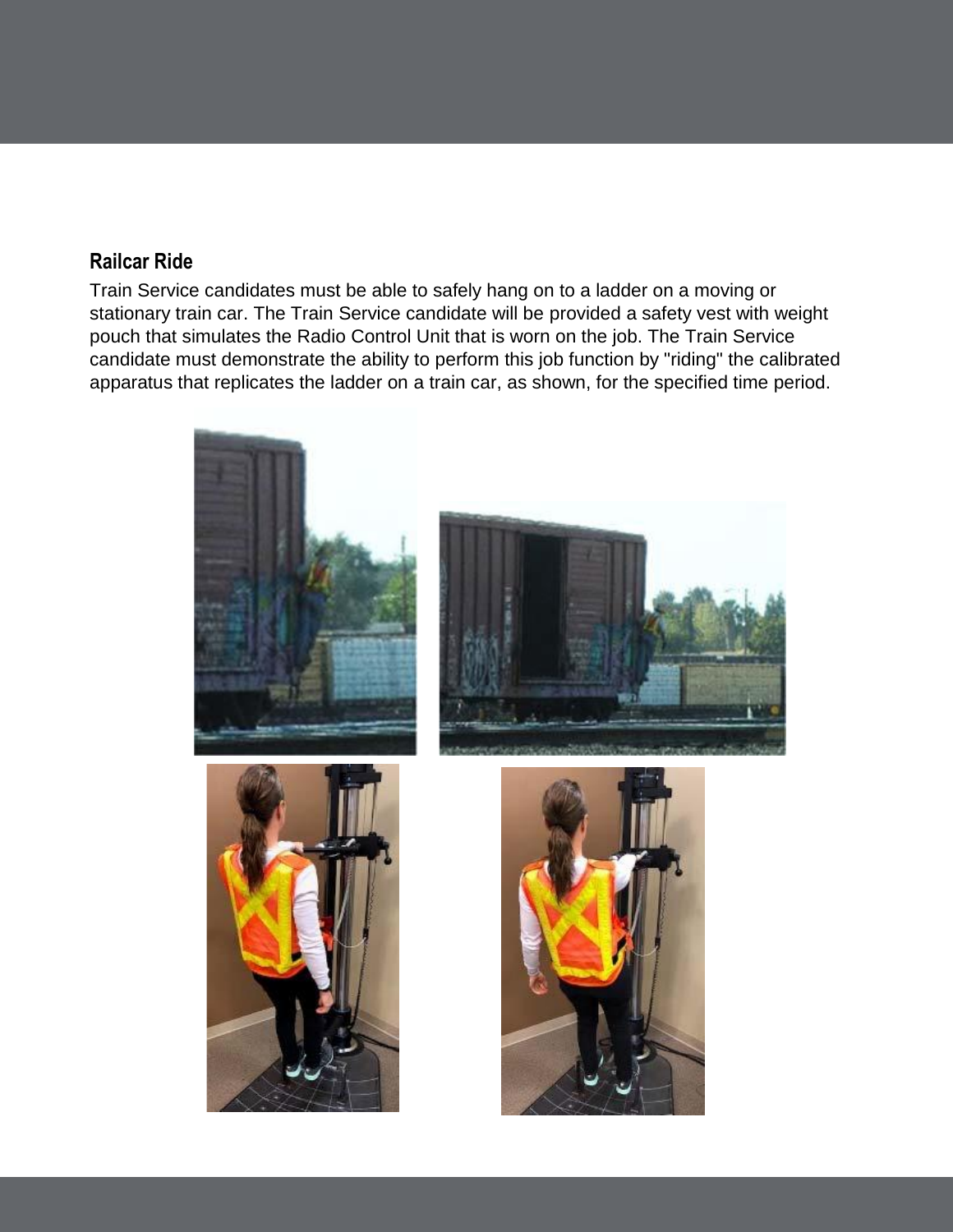## **Railcar Ride**

Train Service candidates must be able to safely hang on to a ladder on a moving or stationary train car. The Train Service candidate will be provided a safety vest with weight pouch that simulates the Radio Control Unit that is worn on the job. The Train Service candidate must demonstrate the ability to perform this job function by "riding" the calibrated apparatus that replicates the ladder on a train car, as shown, for the specified time period.

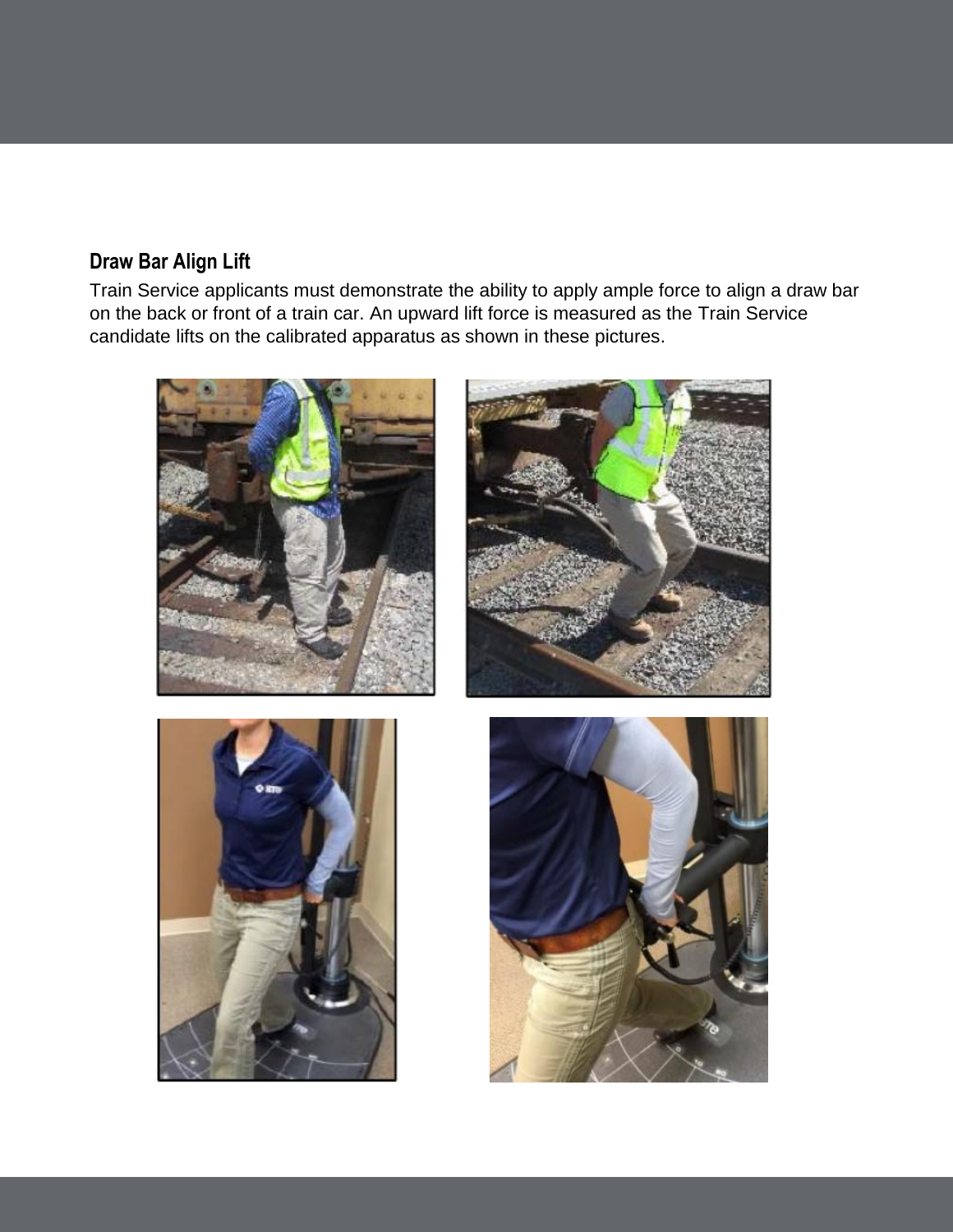# **Draw Bar Align Lift**

Train Service applicants must demonstrate the ability to apply ample force to align a draw bar on the back or front of a train car. An upward lift force is measured as the Train Service candidate lifts on the calibrated apparatus as shown in these pictures.